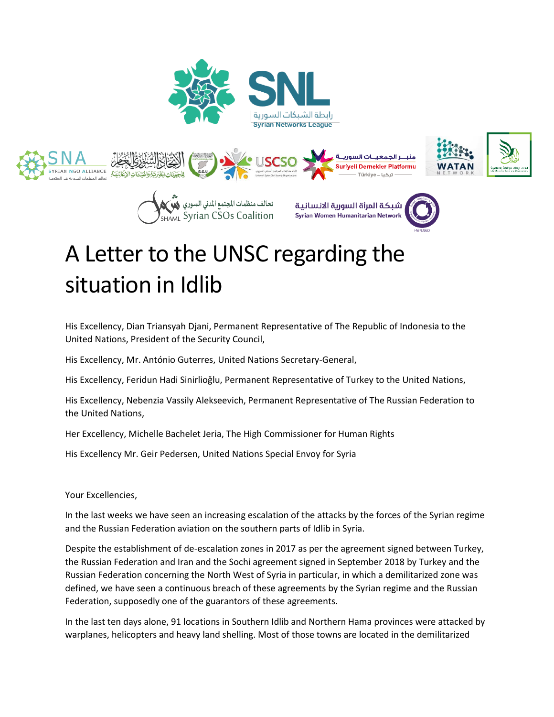









# A Letter to the UNSC regarding the situation in Idlib

His Excellency, Dian Triansyah Djani, Permanent Representative of The Republic of Indonesia to the United Nations, President of the Security Council,

His Excellency, Mr. António Guterres, United Nations Secretary-General,

His Excellency, Feridun Hadi Sinirlioğlu, Permanent Representative of Turkey to the United Nations,

His Excellency, Nebenzia Vassily Alekseevich, Permanent Representative of The Russian Federation to the United Nations,

Her Excellency, Michelle Bachelet Jeria, The High Commissioner for Human Rights

His Excellency Mr. Geir Pedersen, United Nations Special Envoy for Syria

Your Excellencies,

In the last weeks we have seen an increasing escalation of the attacks by the forces of the Syrian regime and the Russian Federation aviation on the southern parts of Idlib in Syria.

Despite the establishment of de-escalation zones in 2017 as per the agreement signed between Turkey, the Russian Federation and Iran and the Sochi agreement signed in September 2018 by Turkey and the Russian Federation concerning the North West of Syria in particular, in which a demilitarized zone was defined, we have seen a continuous breach of these agreements by the Syrian regime and the Russian Federation, supposedly one of the guarantors of these agreements.

In the last ten days alone, 91 locations in Southern Idlib and Northern Hama provinces were attacked by warplanes, helicopters and heavy land shelling. Most of those towns are located in the demilitarized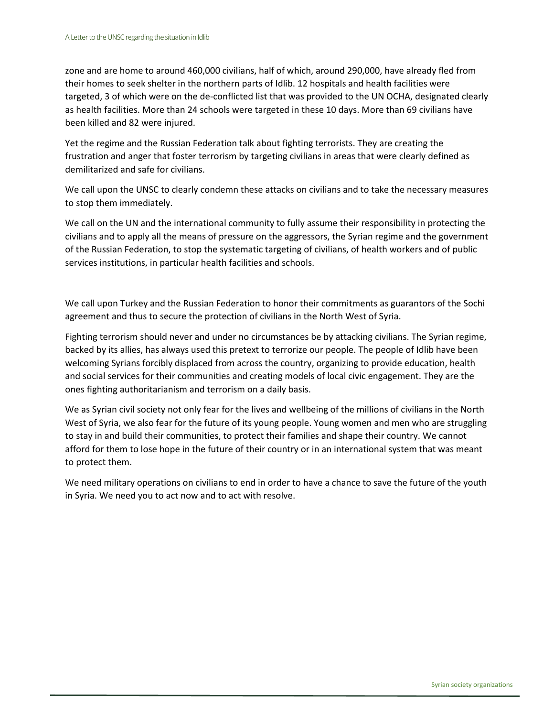zone and are home to around 460,000 civilians, half of which, around 290,000, have already fled from their homes to seek shelter in the northern parts of Idlib. 12 hospitals and health facilities were targeted, 3 of which were on the de-conflicted list that was provided to the UN OCHA, designated clearly as health facilities. More than 24 schools were targeted in these 10 days. More than 69 civilians have been killed and 82 were injured.

Yet the regime and the Russian Federation talk about fighting terrorists. They are creating the frustration and anger that foster terrorism by targeting civilians in areas that were clearly defined as demilitarized and safe for civilians.

We call upon the UNSC to clearly condemn these attacks on civilians and to take the necessary measures to stop them immediately.

We call on the UN and the international community to fully assume their responsibility in protecting the civilians and to apply all the means of pressure on the aggressors, the Syrian regime and the government of the Russian Federation, to stop the systematic targeting of civilians, of health workers and of public services institutions, in particular health facilities and schools.

We call upon Turkey and the Russian Federation to honor their commitments as guarantors of the Sochi agreement and thus to secure the protection of civilians in the North West of Syria.

Fighting terrorism should never and under no circumstances be by attacking civilians. The Syrian regime, backed by its allies, has always used this pretext to terrorize our people. The people of Idlib have been welcoming Syrians forcibly displaced from across the country, organizing to provide education, health and social services for their communities and creating models of local civic engagement. They are the ones fighting authoritarianism and terrorism on a daily basis.

We as Syrian civil society not only fear for the lives and wellbeing of the millions of civilians in the North West of Syria, we also fear for the future of its young people. Young women and men who are struggling to stay in and build their communities, to protect their families and shape their country. We cannot afford for them to lose hope in the future of their country or in an international system that was meant to protect them.

We need military operations on civilians to end in order to have a chance to save the future of the youth in Syria. We need you to act now and to act with resolve.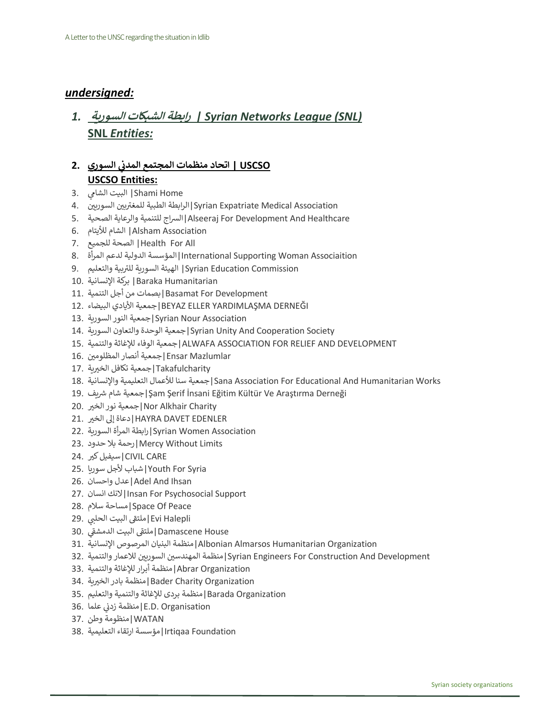### *undersigned:*

## *1.* **السورية الشبكات رابطة** *| Syrian Networks League (SNL)* **SNL** *Entities:*

#### **السوري 2. USCSO | اتحاد منظمات المجتمع المدن ي USCSO Entities:**

- Shami Home | البيت الشامي .3
- ي<br>Syrian Expatriate Medical Association |الرابطة الطبية للمغتربين السوريين .
- 5. الصحية والرعاية للتنمية الرساج|Alseeraj For Development And Healthcare
- Association Alsham |الشام لأليتام 6.
- 7. للجميع الصحة| Health For All
- Associaition Woman Supporting International|المؤسسة الدولية لدعم المرأة 8.
- .<br>Syrian Education Commission | الهيئة السورية للتربية والتعليم 9.
- Humanitarian Baraka |بركة اإلنسانية 10.
- Development For Basamat|بصمات من أجل التنمية 11.
- 12. البيضاء األيادي جمعية|BEYAZ ELLER YARDIMLAŞMA DERNEĞI
- Association Nour Syrian|جمعية النور السورية 13.
- 14. السورية والتعاون الوحدة جمعية|Syrian Unity And Cooperation Society
- 15. والتنمية لإلغاثة الوفاء جمعية|ALWAFA ASSOCIATION FOR RELIEF AND DEVELOPMENT
- Mazlumlar Ensar|جمعية أنصار المظلوم ين 16.
- Takafulcharity|جمعية تكافل الخيربة .17
- 18. واإلنسانية التعليمية لألعمال سنا جمعية|Sana Association For Educational And Humanitarian Works
- ر جمعية شام شريف [Şam Şerif İnsani Eğitim Kültür Ve Araştırma Derneği]
- Charity Alkhair Nor|جمعية نور الخ ت 20.
- EDENLER |دعاة إلى الخير 21.
- Association Women Syrian|رابطة المرأة السورية 22.
- Limits Without Mercy|رحمة بال حدود 23.
- CIVIL CARE |سيفيل كير 24.
- Syria For Youth|شباب ألجل سوريا 25.
- 26. واحسان عدل|Adel And Ihsan
- 27. انسان النك|Insan For Psychosocial Support
- 28. سالم مساحة|Space Of Peace
- .<br>Evi Halepli|ملتقى البيت الحلبي<sup>'</sup> .29
- .<br>20. Damascene House |ملتقى البيت الدمشقى 30 ë
- Organization Humanitarian Almarsos Albonian|منظمة البنيان المرصوص اإلنسانية 31.
- ا منظمة المهندسين السوريين للاعمار والتنمية 32. [Syrian Engineers For Construction And Development
- Organization Abrar|منظمة أبرار لإلغاثة والتنمية 33.
- Organization Charity Bader|منظمة بادر الخ تية 34.
- Organization Barada|منظمة بردى لإلغاثة والتنمية والتعليم 35.
- .<br>E.D. Organisation |منظمة زدني علما .36
- WATAN|منظومة وطن 37.
- Foundation Irtiqaa|مؤسسة ارتقاء التعليمية 38.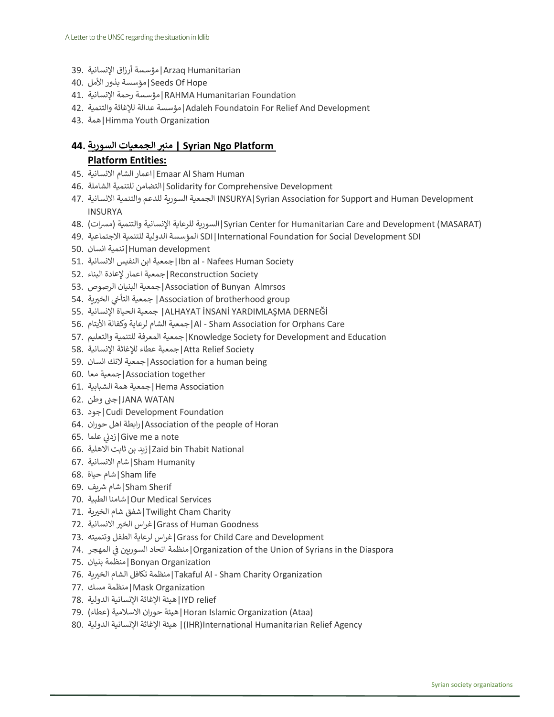- Humanitarian Arzaq|مؤسسة أرزاق اإلنسانية 39.
- Hope Of Seeds|مؤسسة بذور األمل 40.
- Foundation Humanitarian RAHMA|مؤسسة رحمة اإلنسانية 41.
- 42. والتنمية لإلغاثة عدالة مؤسسة|Adaleh Foundatoin For Relief And Development
- 43. همة|Himma Youth Organization

#### **44. السورية منربالجمعيات | Syrian Ngo Platform Platform Entities:**

- 45. االنسانية الشام اعمار|Emaar Al Sham Human
- 46. الشاملة للتنمية التضامن|Solidarity for Comprehensive Development
- 47. االنسانية والتنمية للدعم السورية الجمعية INSURYA|Syrian Association for Support and Human Development INSURYA
- 48. )مرسات )والتنمية اإلنسانية للرعاية السورية|Syrian Center for Humanitarian Care and Development (MASARAT)
- 49. االجتماعية للتنمية الدولية المؤسسة SDI|International Foundation for Social Development SDI
- development Human|تنمية انسان 50.
- 51. االنسانية النفيس ابن جمعية|Ibn al Nafees Human Society
- Society Reconstruction|جمعية اعمار إلعادة البناء 52.
- 53. الرصوص البنيان جمعية|Association of Bunyan Almrsos
- الخ تية 54. نخ التأ جمعية| Association of brotherhood group
- 55. اإلنسانية الحياة جمعية| ALHAYAT İNSANİ YARDIMLAŞMA DERNEĞİ
- 56. األيتام وكفالة لرعاية الشام جمعية|Al Sham Association for Orphans Care
- 57. والتعليم للتنمية المعرفة جمعية|Knowledge Society for Development and Education
- Society Relief Atta|جمعية عطاء لإلغاثة اإلنسانية 58.
- 59. انسان النك جمعية|Association for a human being
- together Association|جمعية معا 60.
- Association Hema|جمعية همة الشبابية 61.
- WATAN JANA|جنب وطن 62.
- 63. جود|Cudi Development Foundation
- 64. حوران اهل رابطة|Association of the people of Horan
- عدم.<br>Give me a note |زدني علما ] 65.
- National Thabit bin Zaid|زيد بن ثابت االهلية 66.
- Humanity Sham|شام االنسانية 67.
- life Sham|شام حياة 68.
- رشيف 69. شام|Sham Sherif
- 70. الطبية شامنا|Our Medical Services
- Charity Cham Twilight|شفق شام الخ تية 71.
- 72. تاالنسانية الخ غراس|Grass of Human Goodness
- 73. وتنميته الطفل لرعاية غراس|Grass for Child Care and Development
- المهجر 74. ف ين السوري اتحاد منظمة|Organization of the Union of Syrians in the Diaspora  $\frac{1}{2}$ ن
- Organization Bonyan|منظمة بنيان 75.
- Organization Charity Sham Al Takaful|منظمة تكافل الشام الخ تية 76.
- Organization Mask|منظمة مسك 77.
- relief IYD|هيئة اإلغاثة اإلنسانية الدولية 78.
- (Horan Islamic Organization (Ataa |هيئة حوران الاسلامية (عطاء)
- 80. الدولية اإلنسانية اإلغاثة هيئة)| IHR)International Humanitarian Relief Agency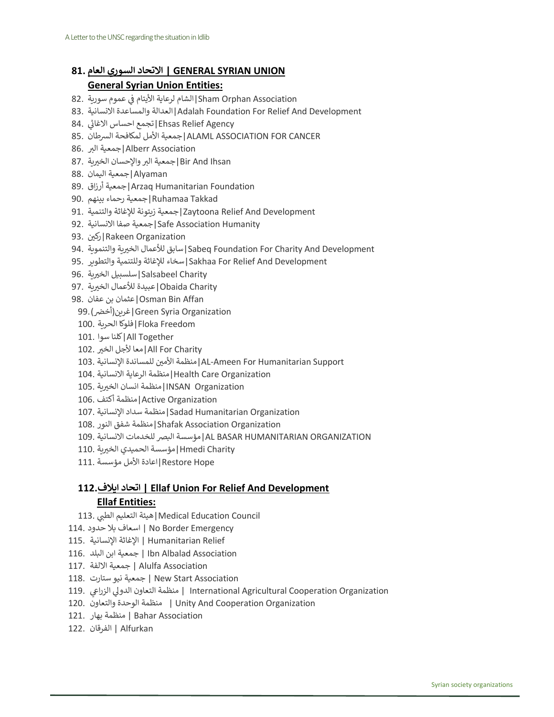#### **UNION SYRIAN GENERAL | االتحاد السوري العام 81.**

#### **General Syrian Union Entities:**

- Sham Orphan Association|الشام لرعاية الأيتام في عموم سورية .82 ن
- 83. االنسانية والمساعدة العدالة|Adalah Foundation For Relief And Development
- .<br>Ehsas Relief Agency |تجمع احساس الاغاثي .84 į
- ALAML ASSOCIATION FOR CANCER جمعية الأمل لمكافحة السرطان .85
- Alberr Association |جمعية البر 86.
- Bir And Ihsan |جمعية البر والإحسان الخيرية .87
- Alyaman|جمعية اليمان 88.
- 89. أرزاق جمعية|Arzaq Humanitarian Foundation
- Takkad Ruhamaa|جمعية رحماء بينهم 90.
- Development And Relief Zaytoona|جمعية زيتونة لإلغاثة والتنمية 91.
- Humanity Association Safe|جمعية صفا االنسانية 92.
- Organization Rakeen|رك ين 93.
- 94. والتنموية تية الخ لألعمال سابق|Sabeq Foundation For Charity And Development
- 95. والتطوير وللتنمية لإلغاثة سخاء|Sakhaa For Relief And Development
- Charity Salsabeel|سلسبيل الخ تية 96.
- Charity Obaida|عبيدة لألعمال الخ تية 97.
- Affan Bin Osman|عثمان بن عفان 98.
- Organization Syria Green|غرين)أخ نض(99.
- Freedom Floka|فلوكا الحرية 100.
- Together All|كلنا سوا 101.
- All For Charity |معا لأجل الخير 102.
- AL-Ameen For Humanitarian Support |منظمة الأمين للمساندة الإنسانية .103
- Organization Care Health|منظمة الرعاية االنسانية 104.
- Organization INSAN|منظمة انسان الخ تية 105.
- Organization Active|منظمة أكتف 106.
- Organization Humanitarian Sadad|منظمة سداد اإلنسانية 107.
- Organization Association Shafak|منظمة شفق النور 108.
- ORGANIZATION HUMANITARIAN BASAR AL|مؤسسة البض للخدمات االنسانية 109.
- Charity Hmedi|مؤسسة الحميدي الخ تية 110.
- Hope Restore|اعادة األمل مؤسسة 111.

#### **112.ايالف اتحاد | Ellaf Union For Relief And Development Ellaf Entities:**

- Medical Education Council |هيئة التعليم الطبي .113
- Emergency Border No | اسعاف بال حدود 114.
- Relief Humanitarian | اإلغاثة اإلنسانية 115.
- Association Albalad Ibn | جمعية ابن البلد 116.
- Association Alulfa | جمعية االلفة 117.
- Association Start New | جمعية نيو ستارت 118.
- المنظمة التعاون الدولي الزراعي International Agricultural Cooperation Organization المنظمة التعاون الدولي الزراعي
- 120. والتعاون الوحدة منظمة | Unity And Cooperation Organization
- Association Bahar | منظمة بهار 121.
- Alfurkan | الفرقان 122.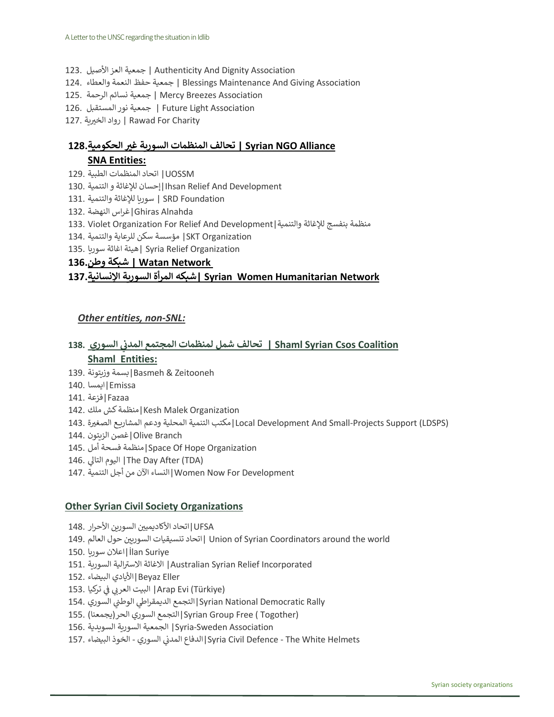- 123. األصيل العز جمعية | Authenticity And Dignity Association
- 124. والعطاء النعمة حفظ جمعية | Blessings Maintenance And Giving Association
- Association Breezes Mercy | جمعية نسائم الرحمة 125.
- Association Light Future | جمعية نور المستقبل 126.
- Charity For Rawad | رواد الخ تية 127.

### **Alliance NGO Syrian | تحالف المنظمات السورية غربالحكومية128. SNA Entities:**

- UOSSM |اتحاد المنظمات الطبية 129.
- Development And Relief Ihsan|إحسان لإلغاثة و التنمية 130.
- Foundation SRD | سوريا لإلغاثة والتنمية 131.
- Alnahda Ghiras|غراس النهضة 132.
- 133. Violet Organization For Relief And Development|والتنمية لإلغاثة بنفسج منظمة
- Organization SKT |مؤسسة سكن للرعاية والتنمية 134.
- Organization Relief Syria| هيئة اغاثة سوريا 135.

#### **Network Watan | شبكة وطن136.**

## **Network Humanitarian Women Syrian| شبكه المر أة السورية اإلنسانية137.**

#### *Other entities, non-SNL:*

#### **السوري 138. Coalition Csos Syrian Shaml | تحالف شمل لمنظمات المجتمع المدن ي Shaml Entities:**

- Zeitooneh & Basmeh|بسمة وزيتونة 139.
- Emissa|ايمسا 140.
- Fazaa|فزعة 141.
- Organization Malek Kesh|منظمة كش ملك 142.
- (Local Development And Small-Projects Support (LDSPS)|مكتب التنمية المحلية ودعم المشاريع الصغيرة .143
- Branch Olive|غصن الزيتون 144.
- 145. أمل فسحة منظمة|Space Of Hope Organization
- ىل 146. التا اليوم| The Day After (TDA)
- Development For Now Women|النساء اآلن من أجل التنمية 147.

#### **Other Syrian Civil Society Organizations**

- UFSA|اتحاد الأكاديميين السورين الأحرار .148
- 149. العالم حول اتحاد ين السوري تنسيقيات | Union of Syrian Coordinators around the world
- Suriye İlan|اعالن سوريا 150.
- الية السورية 151. <sup>ر</sup> االست االغاثة<sup>|</sup> Australian Syrian Relief Incorporated
- Eller Beyaz|األيادي البيضاء 152.
- تركيا 153. ن ف العر البيت| Arap Evi (Türkiye) Ĩ ن
- Syrian National Democratic Rally التجمع الديمقراطي الوطني السوري .154
- (Togother ( Free Group Syrian|التجمع السوري الحر)يجمعنا( 155.
- Association Sweden-Syria |الجمعية السورية السويدية 156.
- السوري 157. البيضاء الخوذ المدن الدفاع|Syria Civil Defence The White Helmets: ن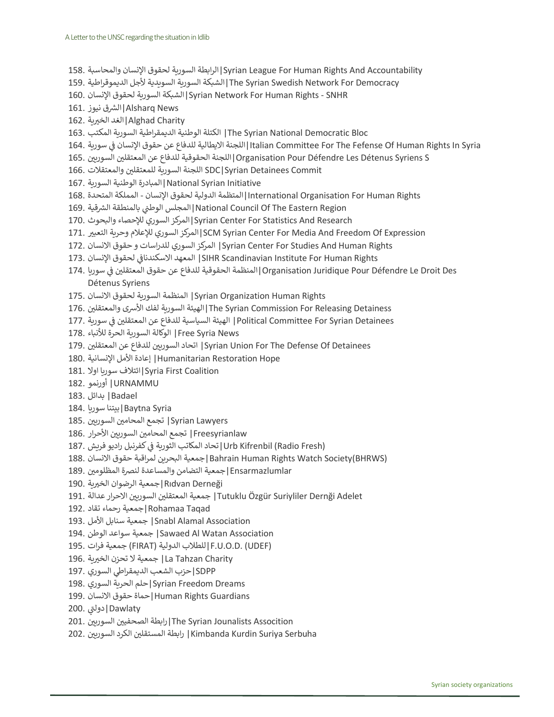- 158. والمحاسبة اإلنسان لحقوق السورية الرابطة|Syrian League For Human Rights And Accountability
- 159. الديموقراطية ألجل السويدية السورية الشبكة|The Syrian Swedish Network For Democracy
- 160. اإلنسان لحقوق السورية الشبكة|Syrian Network For Human Rights SNHR
- الشرق نيوز .161 $\vert$ Alsharq News
- Alghad Charity |الغد الخيربة 162.
- Bloc Democratic National Syrian The |الكتلة الوطنية الديمقراطية السورية المكتب 163.
- Italian Committee For The Fefense Of Human Rights In Syria |اللجنة الايطالية للدفاع عن حقوق الإنسان في سورية .164 ن
- Organisation Pour Défendre Les Détenus Syriens S|اللجنة الحقوقية للدفاع عن المعتقلين السوريين .165
- والمعتقالت 166. Commit Detainees Syrian|SDC اللجنة السورية للمعتقل ين
- Initiative Syrian National|المبادرة الوطنية السورية 167.
- Rights Human For Organisation International|المتظمة الدولية لحقوق اإلنسان المملكة المتحدة 168.
- المجلس الوطني بالمنطقة الشرقية .169 [National Council Of The Eastern Region
- 170. والبحوث لإلحصاء السوري المركز|Syrian Center For Statistics And Research
- المركز السوري للإعلام وحربة التعبير .171 SCM Syrian Center For Media And Freedom Of Expression
- 172. االنسان حقوق و للدراسات السوري المركز| Syrian Center For Studies And Human Rights
- لحقوق اإلنسان 173. االسكندناف المعهد| SIHR Scandinavian Institute For Human Rights Ĩ ن
- Organisation Juridique Pour Défendre Le Droit Des |المنظمة الحقوقية للدفاع عن حقوق المعتقلين في سوريا .174 ن Détenus Syriens
- Rights Human Organization Syrian |المنظمة السورية لحقوق االنسان 175.
- Detainess Releasing For Commission Syrian The|الهيئة السورية لفك األشى والمعتقل ين 176.
- Political Committee For Syrian Detainees | الهيئة السياسية للدفاع عن المعتقلين في سورية .177 ن
- News Syria Free |الوكالة السورية الحرة لألنباء 178.
- ل اتحاد السوريين للدفاع عن المعتقلين .179 ISyrian Union For The Defense Of Detainees
- Hope Restoration Humanitarian |إعادة األمل اإلنسانية 180.
- Coalition First Syria|ائتالف سوريا اوال 181.
- URNAMMU |أورنمو 182.
- Badael |بدائل 183.
- Syria Baytna|بيتنا سوريا 184.
- Syrian Lawyers | تجمع المحامين السوربين .185
- الحرار .186 | Freesyrianlaw | تجمع المحامين السوريين الأحرار
- كفرنبل راديو فريش 187. (Fresh Radio (Kifrenbil Urb|تحاد المكاتب الثورية ف ن
- 188. االنسان حقوق لمراقبة البحرين جمعية|Bahrain Human Rights Watch Society(BHRWS)
- Ensarmazlumlar |جمعية التضامن والمساعدة لنصرة المظلومين .189
- Rıdvan Derneği |جمعية الرضوان الخيربة .190
- 191. أجمعية المعتقلين السوريين الاحرار عدالة ITutuklu Özgür Suriyliler Dernği Adelet
- Taqad Rohamaa|جمعية رحماء تقاد 192.
- Association Alamal Snabl |جمعية سنابل األمل 193.
- 194. الوطن سواعد جمعية| Sawaed Al Watan Association
- 195. فرات جمعية) FIRAT) الدولية للطالب|F.U.O.D. (UDEF)
- Charity Tahzan La |جمعية ال تحزن الخ تية 196.
- SDPP|حزب الشعب الديمقراطي السوري .197
- Dreams Freedom Syrian|حلم الحرية السوري 198.
- Guardians Rights Human|حماة حقوق االنسان 199.
- دولتي <mark>Dawlaty |دولتي</mark>)
- ارابطة الصحفيين السوربين ,201 The Syrian Jounalists Assocition
- الرابطة المستقلين الكرد السوريين ,202 Kimbanda Kurdin Suriya Serbuha